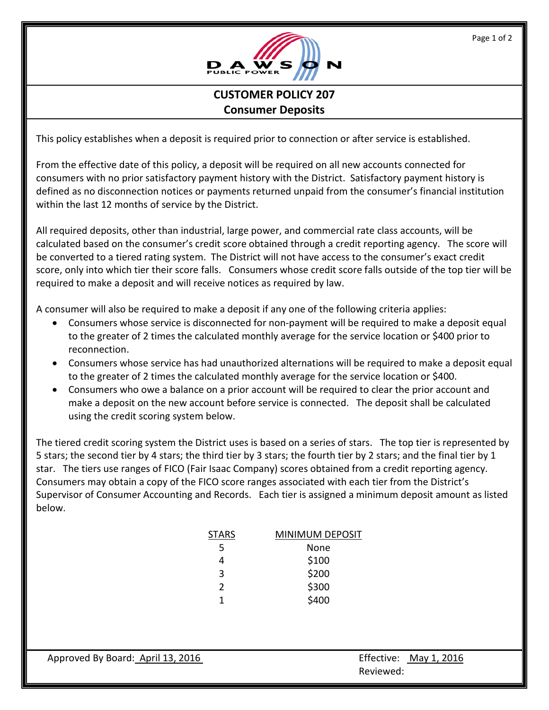

## **CUSTOMER POLICY 207 Consumer Deposits**

This policy establishes when a deposit is required prior to connection or after service is established.

From the effective date of this policy, a deposit will be required on all new accounts connected for consumers with no prior satisfactory payment history with the District. Satisfactory payment history is defined as no disconnection notices or payments returned unpaid from the consumer's financial institution within the last 12 months of service by the District.

All required deposits, other than industrial, large power, and commercial rate class accounts, will be calculated based on the consumer's credit score obtained through a credit reporting agency. The score will be converted to a tiered rating system. The District will not have access to the consumer's exact credit score, only into which tier their score falls. Consumers whose credit score falls outside of the top tier will be required to make a deposit and will receive notices as required by law.

A consumer will also be required to make a deposit if any one of the following criteria applies:

- Consumers whose service is disconnected for non-payment will be required to make a deposit equal to the greater of 2 times the calculated monthly average for the service location or \$400 prior to reconnection.
- Consumers whose service has had unauthorized alternations will be required to make a deposit equal to the greater of 2 times the calculated monthly average for the service location or \$400.
- Consumers who owe a balance on a prior account will be required to clear the prior account and make a deposit on the new account before service is connected. The deposit shall be calculated using the credit scoring system below.

The tiered credit scoring system the District uses is based on a series of stars. The top tier is represented by 5 stars; the second tier by 4 stars; the third tier by 3 stars; the fourth tier by 2 stars; and the final tier by 1 star. The tiers use ranges of FICO (Fair Isaac Company) scores obtained from a credit reporting agency. Consumers may obtain a copy of the FICO score ranges associated with each tier from the District's Supervisor of Consumer Accounting and Records. Each tier is assigned a minimum deposit amount as listed below.

| STARS         | <b>MINIMUM DEPOSIT</b> |
|---------------|------------------------|
| 5             | None                   |
| 4             | \$100                  |
| 3             | \$200                  |
| $\mathcal{P}$ | \$300                  |
| 1             | \$400                  |

**Example 2018 Reviewed:**